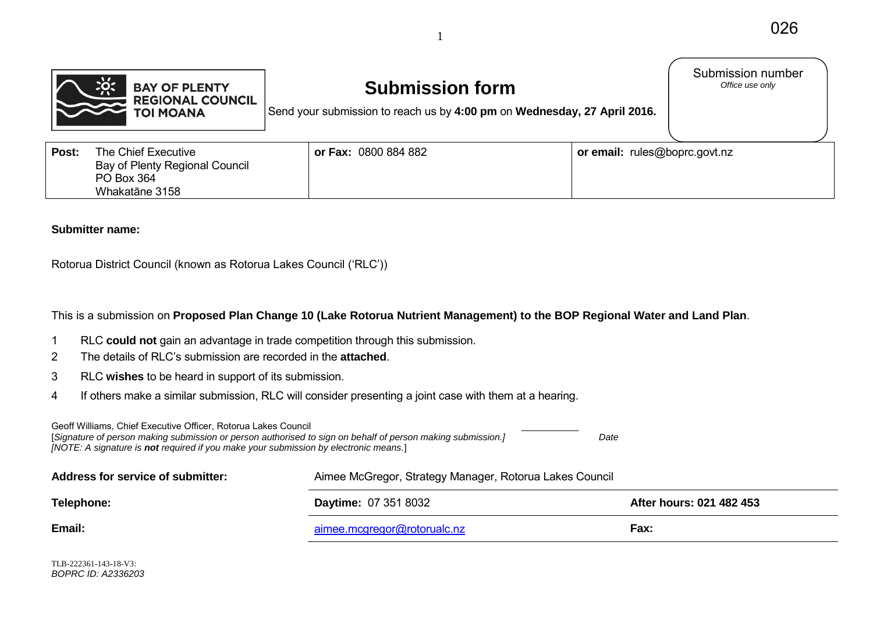



# **Submission form**

Submission number<br>Office use only

Send your submission to reach us by **4:00 pm** on **Wednesday, 27 April 2016.**

| Post: | The Chief Executive<br>Bay of Plenty Regional Council<br>PO Box 364<br>Whakatāne 3158 | or Fax: 0800 884 882 | <b>or email:</b> rules@boprc.govt.nz |
|-------|---------------------------------------------------------------------------------------|----------------------|--------------------------------------|
|-------|---------------------------------------------------------------------------------------|----------------------|--------------------------------------|

#### **Submitter name:**

Rotorua District Council (known as Rotorua Lakes Council ('RLC'))

This is a submission on **Proposed Plan Change 10 (Lake Rotorua Nutrient Management) to the BOP Regional Water and Land Plan**.

- 1 RLC **could not** gain an advantage in trade competition through this submission.
- 2 The details of RLC's submission are recorded in the **attached**.
- 3 RLC **wishes** to be heard in support of its submission.
- 4 If others make a similar submission, RLC will consider presenting a joint case with them at a hearing.

Geoff Williams, Chief Executive Officer, Rotorua Lakes Council [*Signature of person making submission or person authorised to sign on behalf of person making submission.] Date [NOTE: A signature is not required if you make your submission by electronic means.*]

| Address for service of submitter: | Aimee McGregor, Strategy Manager, Rotorua Lakes Council |                          |  |
|-----------------------------------|---------------------------------------------------------|--------------------------|--|
| Telephone:                        | <b>Daytime: 07 351 8032</b>                             | After hours: 021 482 453 |  |
| Email:                            | aimee.mcgregor@rotorualc.nz                             | Fax:                     |  |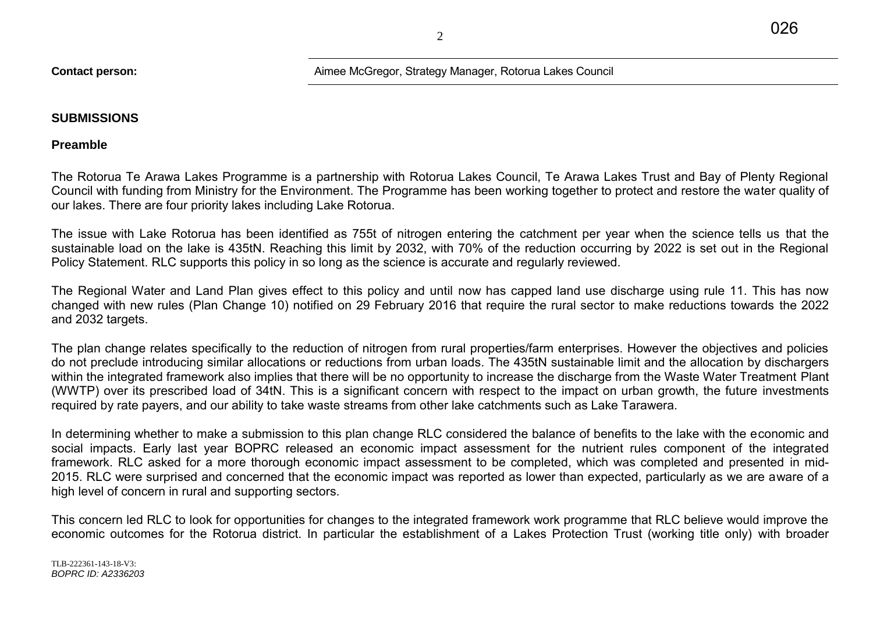2

## **Contact person:** Aimee McGregor, Strategy Manager, Rotorua Lakes Council

## **SUBMISSIONS**

**Preamble** 

The Rotorua Te Arawa Lakes Programme is a partnership with Rotorua Lakes Council, Te Arawa Lakes Trust and Bay of Plenty Regional Council with funding from Ministry for the Environment. The Programme has been working together to protect and restore the water quality of our lakes. There are four priority lakes including Lake Rotorua.

The issue with Lake Rotorua has been identified as 755t of nitrogen entering the catchment per year when the science tells us that the sustainable load on the lake is 435tN. Reaching this limit by 2032, with 70% of the reduction occurring by 2022 is set out in the Regional Policy Statement. RLC supports this policy in so long as the science is accurate and regularly reviewed.

The Regional Water and Land Plan gives effect to this policy and until now has capped land use discharge using rule 11. This has now changed with new rules (Plan Change 10) notified on 29 February 2016 that require the rural sector to make reductions towards the 2022 and 2032 targets.

The plan change relates specifically to the reduction of nitrogen from rural properties/farm enterprises. However the objectives and policies do not preclude introducing similar allocations or reductions from urban loads. The 435tN sustainable limit and the allocation by dischargers within the integrated framework also implies that there will be no opportunity to increase the discharge from the Waste Water Treatment Plant (WWTP) over its prescribed load of 34tN. This is a significant concern with respect to the impact on urban growth, the future investments required by rate payers, and our ability to take waste streams from other lake catchments such as Lake Tarawera.

In determining whether to make a submission to this plan change RLC considered the balance of benefits to the lake with the economic and social impacts. Early last year BOPRC released an economic impact assessment for the nutrient rules component of the integrated framework. RLC asked for a more thorough economic impact assessment to be completed, which was completed and presented in mid-2015. RLC were surprised and concerned that the economic impact was reported as lower than expected, particularly as we are aware of a high level of concern in rural and supporting sectors.

This concern led RLC to look for opportunities for changes to the integrated framework work programme that RLC believe would improve the economic outcomes for the Rotorua district. In particular the establishment of a Lakes Protection Trust (working title only) with broader

TLB-222361-143-18-V3: *BOPRC ID: A2336203*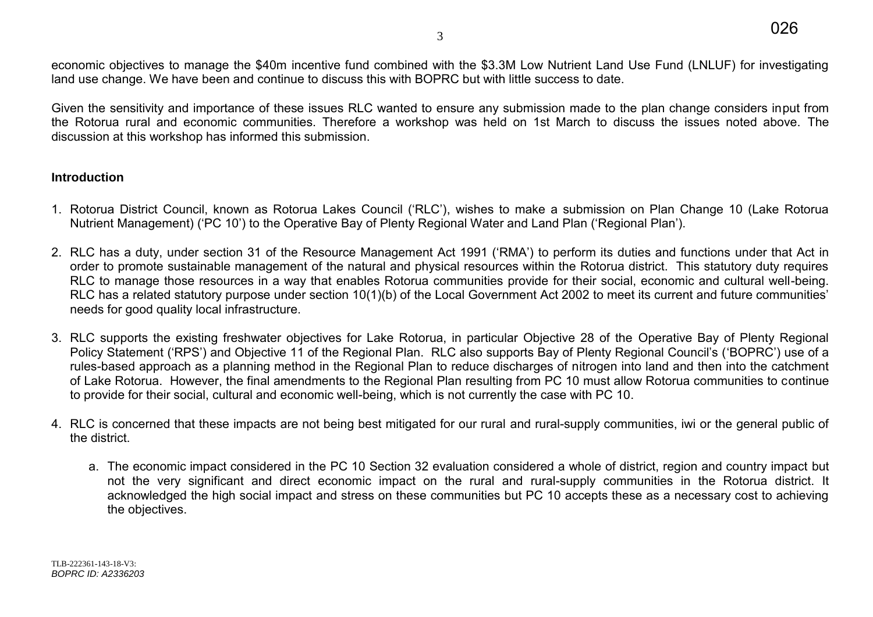economic objectives to manage the \$40m incentive fund combined with the \$3.3M Low Nutrient Land Use Fund (LNLUF) for investigating land use change. We have been and continue to discuss this with BOPRC but with little success to date.

Given the sensitivity and importance of these issues RLC wanted to ensure any submission made to the plan change considers input from the Rotorua rural and economic communities. Therefore a workshop was held on 1st March to discuss the issues noted above. The discussion at this workshop has informed this submission.

## **Introduction**

- 1. Rotorua District Council, known as Rotorua Lakes Council ('RLC'), wishes to make a submission on Plan Change 10 (Lake Rotorua Nutrient Management) ('PC 10') to the Operative Bay of Plenty Regional Water and Land Plan ('Regional Plan').
- 2. RLC has a duty, under section 31 of the Resource Management Act 1991 ('RMA') to perform its duties and functions under that Act in order to promote sustainable management of the natural and physical resources within the Rotorua district. This statutory duty requires RLC to manage those resources in a way that enables Rotorua communities provide for their social, economic and cultural well-being. RLC has a related statutory purpose under section 10(1)(b) of the Local Government Act 2002 to meet its current and future communities' needs for good quality local infrastructure.
- 3. RLC supports the existing freshwater objectives for Lake Rotorua, in particular Objective 28 of the Operative Bay of Plenty Regional Policy Statement ('RPS') and Objective 11 of the Regional Plan. RLC also supports Bay of Plenty Regional Council's ('BOPRC') use of a rules-based approach as a planning method in the Regional Plan to reduce discharges of nitrogen into land and then into the catchment of Lake Rotorua. However, the final amendments to the Regional Plan resulting from PC 10 must allow Rotorua communities to continue to provide for their social, cultural and economic well-being, which is not currently the case with PC 10.
- 4. RLC is concerned that these impacts are not being best mitigated for our rural and rural-supply communities, iwi or the general public of the district.
	- a. The economic impact considered in the PC 10 Section 32 evaluation considered a whole of district, region and country impact but not the very significant and direct economic impact on the rural and rural-supply communities in the Rotorua district. It acknowledged the high social impact and stress on these communities but PC 10 accepts these as a necessary cost to achieving the objectives.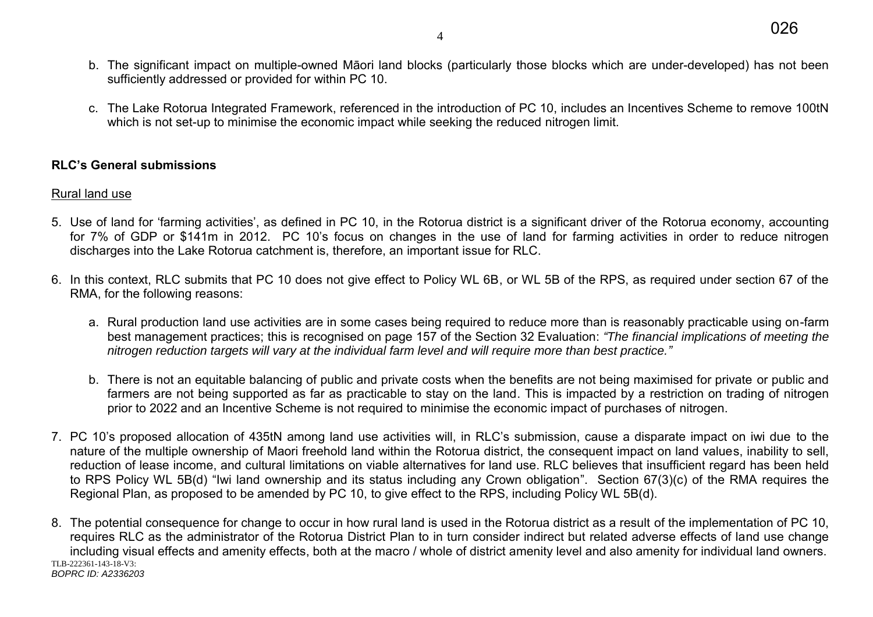- b. The significant impact on multiple-owned Māori land blocks (particularly those blocks which are under-developed) has not been sufficiently addressed or provided for within PC 10.
- c. The Lake Rotorua Integrated Framework, referenced in the introduction of PC 10, includes an Incentives Scheme to remove 100tN which is not set-up to minimise the economic impact while seeking the reduced nitrogen limit.

# **RLC's General submissions**

# Rural land use

- 5. Use of land for 'farming activities', as defined in PC 10, in the Rotorua district is a significant driver of the Rotorua economy, accounting for 7% of GDP or \$141m in 2012. PC 10's focus on changes in the use of land for farming activities in order to reduce nitrogen discharges into the Lake Rotorua catchment is, therefore, an important issue for RLC.
- 6. In this context, RLC submits that PC 10 does not give effect to Policy WL 6B, or WL 5B of the RPS, as required under section 67 of the RMA, for the following reasons:
	- a. Rural production land use activities are in some cases being required to reduce more than is reasonably practicable using on-farm best management practices; this is recognised on page 157 of the Section 32 Evaluation: *"The financial implications of meeting the nitrogen reduction targets will vary at the individual farm level and will require more than best practice."*
	- b. There is not an equitable balancing of public and private costs when the benefits are not being maximised for private or public and farmers are not being supported as far as practicable to stay on the land. This is impacted by a restriction on trading of nitrogen prior to 2022 and an Incentive Scheme is not required to minimise the economic impact of purchases of nitrogen.
- 7. PC 10's proposed allocation of 435tN among land use activities will, in RLC's submission, cause a disparate impact on iwi due to the nature of the multiple ownership of Maori freehold land within the Rotorua district, the consequent impact on land values, inability to sell. reduction of lease income, and cultural limitations on viable alternatives for land use. RLC believes that insufficient regard has been held to RPS Policy WL 5B(d) "Iwi land ownership and its status including any Crown obligation". Section 67(3)(c) of the RMA requires the Regional Plan, as proposed to be amended by PC 10, to give effect to the RPS, including Policy WL 5B(d).
- TLB-222361-143-18-V3: *BOPRC ID: A2336203*  8. The potential consequence for change to occur in how rural land is used in the Rotorua district as a result of the implementation of PC 10, requires RLC as the administrator of the Rotorua District Plan to in turn consider indirect but related adverse effects of land use change including visual effects and amenity effects, both at the macro / whole of district amenity level and also amenity for individual land owners.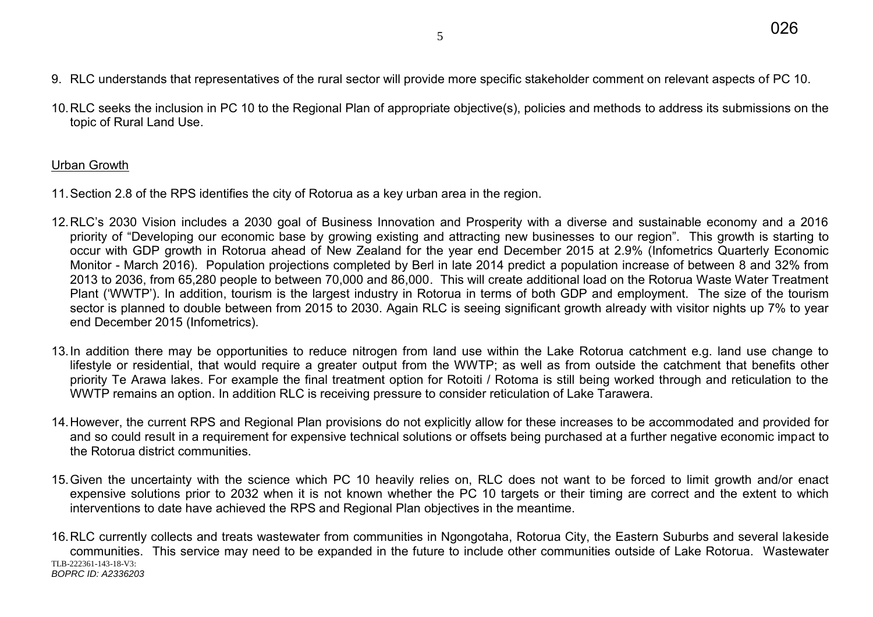- 9. RLC understands that representatives of the rural sector will provide more specific stakeholder comment on relevant aspects of PC 10.
- 10. RLC seeks the inclusion in PC 10 to the Regional Plan of appropriate objective(s), policies and methods to address its submissions on the topic of Rural Land Use.

# Urban Growth

- 11. Section 2.8 of the RPS identifies the city of Rotorua as a key urban area in the region.
- 12. RLC's 2030 Vision includes a 2030 goal of Business Innovation and Prosperity with a diverse and sustainable economy and a 2016 priority of "Developing our economic base by growing existing and attracting new businesses to our region". This growth is starting to occur with GDP growth in Rotorua ahead of New Zealand for the year end December 2015 at 2.9% (Infometrics Quarterly Economic Monitor - March 2016). Population projections completed by Berl in late 2014 predict a population increase of between 8 and 32% from 2013 to 2036, from 65,280 people to between 70,000 and 86,000. This will create additional load on the Rotorua Waste Water Treatment Plant ('WWTP'). In addition, tourism is the largest industry in Rotorua in terms of both GDP and employment. The size of the tourism sector is planned to double between from 2015 to 2030. Again RLC is seeing significant growth already with visitor nights up 7% to year end December 2015 (Infometrics).
- 13. In addition there may be opportunities to reduce nitrogen from land use within the Lake Rotorua catchment e.g. land use change to lifestyle or residential, that would require a greater output from the WWTP; as well as from outside the catchment that benefits other priority Te Arawa lakes. For example the final treatment option for Rotoiti / Rotoma is still being worked through and reticulation to the WWTP remains an option. In addition RLC is receiving pressure to consider reticulation of Lake Tarawera.
- 14. However, the current RPS and Regional Plan provisions do not explicitly allow for these increases to be accommodated and provided for and so could result in a requirement for expensive technical solutions or offsets being purchased at a further negative economic impact to the Rotorua district communities.
- 15. Given the uncertainty with the science which PC 10 heavily relies on, RLC does not want to be forced to limit growth and/or enact expensive solutions prior to 2032 when it is not known whether the PC 10 targets or their timing are correct and the extent to which interventions to date have achieved the RPS and Regional Plan objectives in the meantime.

TLB-222361-143-18-V3: *BOPRC ID: A2336203*  16. RLC currently collects and treats wastewater from communities in Ngongotaha, Rotorua City, the Eastern Suburbs and several lakeside communities. This service may need to be expanded in the future to include other communities outside of Lake Rotorua. Wastewater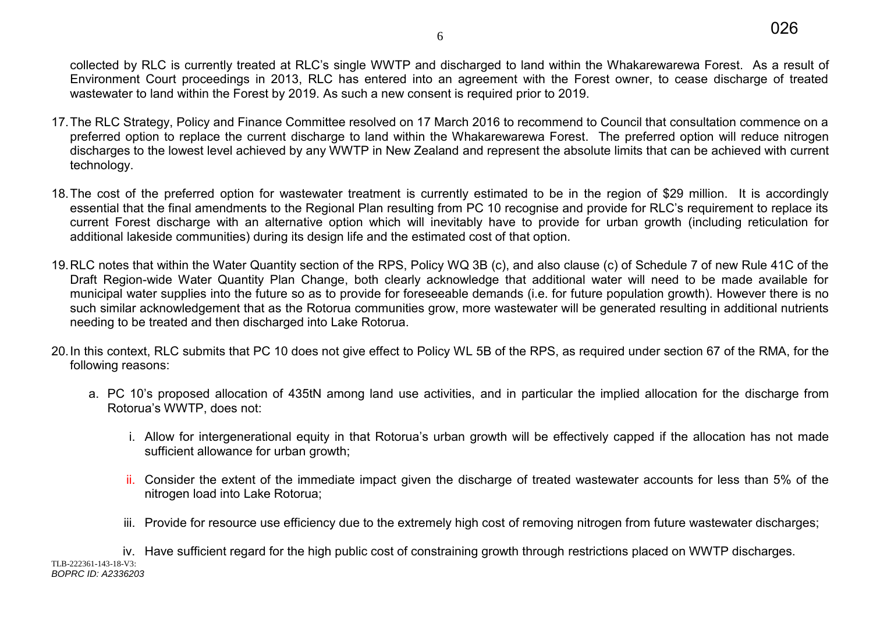collected by RLC is currently treated at RLC's single WWTP and discharged to land within the Whakarewarewa Forest. As a result of Environment Court proceedings in 2013, RLC has entered into an agreement with the Forest owner, to cease discharge of treated wastewater to land within the Forest by 2019. As such a new consent is required prior to 2019.

- 17. The RLC Strategy, Policy and Finance Committee resolved on 17 March 2016 to recommend to Council that consultation commence on a preferred option to replace the current discharge to land within the Whakarewarewa Forest. The preferred option will reduce nitrogen discharges to the lowest level achieved by any WWTP in New Zealand and represent the absolute limits that can be achieved with current technology.
- 18. The cost of the preferred option for wastewater treatment is currently estimated to be in the region of \$29 million. It is accordingly essential that the final amendments to the Regional Plan resulting from PC 10 recognise and provide for RLC's requirement to replace its current Forest discharge with an alternative option which will inevitably have to provide for urban growth (including reticulation for additional lakeside communities) during its design life and the estimated cost of that option.
- 19. RLC notes that within the Water Quantity section of the RPS, Policy WQ 3B (c), and also clause (c) of Schedule 7 of new Rule 41C of the Draft Region-wide Water Quantity Plan Change, both clearly acknowledge that additional water will need to be made available for municipal water supplies into the future so as to provide for foreseeable demands (i.e. for future population growth). However there is no such similar acknowledgement that as the Rotorua communities grow, more wastewater will be generated resulting in additional nutrients needing to be treated and then discharged into Lake Rotorua.
- 20. In this context, RLC submits that PC 10 does not give effect to Policy WL 5B of the RPS, as required under section 67 of the RMA, for the following reasons:
	- a. PC 10's proposed allocation of 435tN among land use activities, and in particular the implied allocation for the discharge from Rotorua's WWTP, does not:
		- i. Allow for intergenerational equity in that Rotorua's urban growth will be effectively capped if the allocation has not made sufficient allowance for urban growth;
		- ii. Consider the extent of the immediate impact given the discharge of treated wastewater accounts for less than 5% of the nitrogen load into Lake Rotorua;
		- iii. Provide for resource use efficiency due to the extremely high cost of removing nitrogen from future wastewater discharges;

TLB-222361-143-18-V3: *BOPRC ID: A2336203*  iv. Have sufficient regard for the high public cost of constraining growth through restrictions placed on WWTP discharges.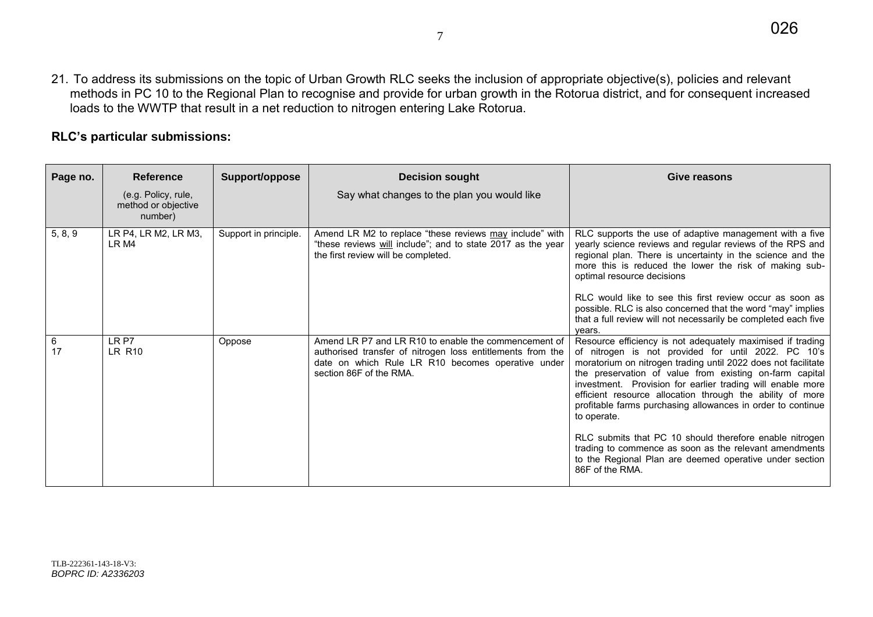21. To address its submissions on the topic of Urban Growth RLC seeks the inclusion of appropriate objective(s), policies and relevant methods in PC 10 to the Regional Plan to recognise and provide for urban growth in the Rotorua district, and for consequent increased loads to the WWTP that result in a net reduction to nitrogen entering Lake Rotorua.

# **RLC's particular submissions:**

| Page no. | <b>Reference</b>                                      | Support/oppose        | <b>Decision sought</b>                                                                                                                                                                             | Give reasons                                                                                                                                                                                                                                                                                                                                                                                                                                                                                                                                                                                                                                              |
|----------|-------------------------------------------------------|-----------------------|----------------------------------------------------------------------------------------------------------------------------------------------------------------------------------------------------|-----------------------------------------------------------------------------------------------------------------------------------------------------------------------------------------------------------------------------------------------------------------------------------------------------------------------------------------------------------------------------------------------------------------------------------------------------------------------------------------------------------------------------------------------------------------------------------------------------------------------------------------------------------|
|          | (e.g. Policy, rule,<br>method or objective<br>number) |                       | Say what changes to the plan you would like                                                                                                                                                        |                                                                                                                                                                                                                                                                                                                                                                                                                                                                                                                                                                                                                                                           |
| 5, 8, 9  | LR P4, LR M2, LR M3,<br>LR M4                         | Support in principle. | Amend LR M2 to replace "these reviews may include" with<br>"these reviews will include"; and to state 2017 as the year<br>the first review will be completed.                                      | RLC supports the use of adaptive management with a five<br>yearly science reviews and regular reviews of the RPS and<br>regional plan. There is uncertainty in the science and the<br>more this is reduced the lower the risk of making sub-<br>optimal resource decisions<br>RLC would like to see this first review occur as soon as<br>possible. RLC is also concerned that the word "may" implies<br>that a full review will not necessarily be completed each five<br>years.                                                                                                                                                                         |
| 6<br>17  | LR P7<br>LR R10                                       | Oppose                | Amend LR P7 and LR R10 to enable the commencement of<br>authorised transfer of nitrogen loss entitlements from the<br>date on which Rule LR R10 becomes operative under<br>section 86F of the RMA. | Resource efficiency is not adequately maximised if trading<br>of nitrogen is not provided for until 2022. PC 10's<br>moratorium on nitrogen trading until 2022 does not facilitate<br>the preservation of value from existing on-farm capital<br>investment. Provision for earlier trading will enable more<br>efficient resource allocation through the ability of more<br>profitable farms purchasing allowances in order to continue<br>to operate.<br>RLC submits that PC 10 should therefore enable nitrogen<br>trading to commence as soon as the relevant amendments<br>to the Regional Plan are deemed operative under section<br>86F of the RMA. |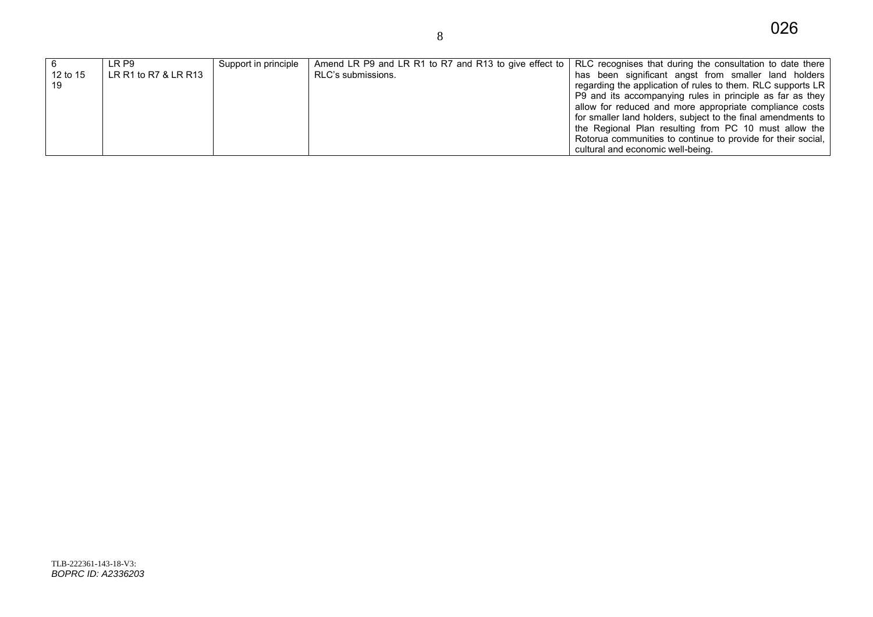|          | LR P9                | Support in principle | Amend LR P9 and LR R1 to R7 and R13 to give effect to | RLC recognises that during the consultation to date there    |
|----------|----------------------|----------------------|-------------------------------------------------------|--------------------------------------------------------------|
| 12 to 15 | LR R1 to R7 & LR R13 |                      | RLC's submissions.                                    | has been significant angst from smaller land holders         |
| 19       |                      |                      |                                                       | regarding the application of rules to them. RLC supports LR  |
|          |                      |                      |                                                       | P9 and its accompanying rules in principle as far as they    |
|          |                      |                      |                                                       | allow for reduced and more appropriate compliance costs      |
|          |                      |                      |                                                       | for smaller land holders, subject to the final amendments to |
|          |                      |                      |                                                       | the Regional Plan resulting from PC 10 must allow the        |
|          |                      |                      |                                                       | Rotorua communities to continue to provide for their social, |
|          |                      |                      |                                                       | cultural and economic well-being.                            |